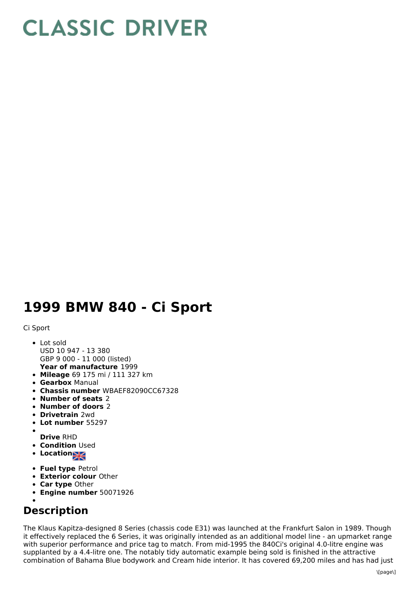## **CLASSIC DRIVER**

## **1999 BMW 840 - Ci Sport**

Ci Sport

- **Year of manufacture** 1999 Lot sold USD 10 947 - 13 380 GBP 9 000 - 11 000 (listed)
- **Mileage** 69 175 mi / 111 327 km
- **Gearbox** Manual
- **Chassis number** WBAEF82090CC67328
- **Number of seats** 2
- **Number of doors** 2
- **Drivetrain** 2wd
- **Lot number** 55297
- **Drive** RHD
- **Condition Used**
- **Locations**
- **Fuel type** Petrol
- **Exterior colour** Other
- **Car type** Other
- **Engine number** 50071926
- 

## **Description**

The Klaus Kapitza-designed 8 Series (chassis code E31) was launched at the Frankfurt Salon in 1989. Though it effectively replaced the 6 Series, it was originally intended as an additional model line - an upmarket range with superior performance and price tag to match. From mid-1995 the 840Ci's original 4.0-litre engine was supplanted by a 4.4-litre one. The notably tidy automatic example being sold is finished in the attractive combination of Bahama Blue bodywork and Cream hide interior. It has covered 69,200 miles and has had just